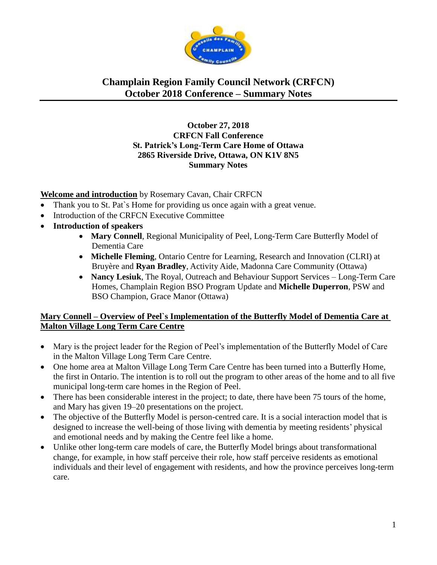

#### **October 27, 2018 CRFCN Fall Conference St. Patrick's Long-Term Care Home of Ottawa 2865 Riverside Drive, Ottawa, ON K1V 8N5 Summary Notes**

#### **Welcome and introduction** by Rosemary Cavan, Chair CRFCN

- Thank you to St. Pat's Home for providing us once again with a great venue.
- Introduction of the CRFCN Executive Committee
- **Introduction of speakers**
	- Mary Connell, Regional Municipality of Peel, Long-Term Care Butterfly Model of Dementia Care
	- **Michelle Fleming**, Ontario Centre for Learning, Research and Innovation (CLRI) at Bruyère and **Ryan Bradley**, Activity Aide, Madonna Care Community (Ottawa)
	- **Nancy Lesiuk**, The Royal, Outreach and Behaviour Support Services Long-Term Care Homes, Champlain Region BSO Program Update and **Michelle Duperron**, PSW and BSO Champion, Grace Manor (Ottawa)

#### **Mary Connell – Overview of Peel`s Implementation of the Butterfly Model of Dementia Care at Malton Village Long Term Care Centre**

- Mary is the project leader for the Region of Peel's implementation of the Butterfly Model of Care in the Malton Village Long Term Care Centre.
- One home area at Malton Village Long Term Care Centre has been turned into a Butterfly Home, the first in Ontario. The intention is to roll out the program to other areas of the home and to all five municipal long-term care homes in the Region of Peel.
- There has been considerable interest in the project; to date, there have been 75 tours of the home, and Mary has given 19–20 presentations on the project.
- The objective of the Butterfly Model is person-centred care. It is a social interaction model that is designed to increase the well-being of those living with dementia by meeting residents' physical and emotional needs and by making the Centre feel like a home.
- Unlike other long-term care models of care, the Butterfly Model brings about transformational change, for example, in how staff perceive their role, how staff perceive residents as emotional individuals and their level of engagement with residents, and how the province perceives long-term care.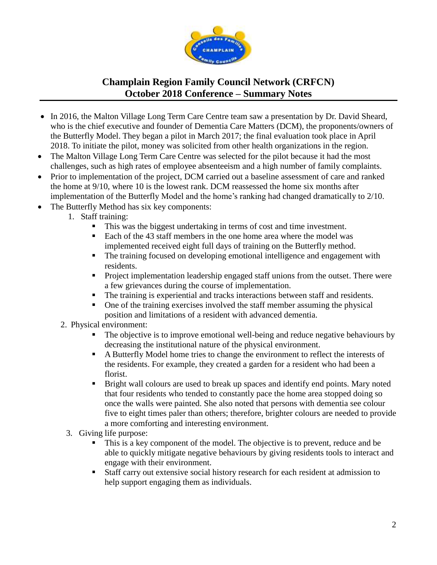

- In 2016, the Malton Village Long Term Care Centre team saw a presentation by Dr. David Sheard, who is the chief executive and founder of Dementia Care Matters (DCM), the proponents/owners of the Butterfly Model. They began a pilot in March 2017; the final evaluation took place in April 2018. To initiate the pilot, money was solicited from other health organizations in the region.
- The Malton Village Long Term Care Centre was selected for the pilot because it had the most challenges, such as high rates of employee absenteeism and a high number of family complaints.
- Prior to implementation of the project, DCM carried out a baseline assessment of care and ranked the home at 9/10, where 10 is the lowest rank. DCM reassessed the home six months after implementation of the Butterfly Model and the home's ranking had changed dramatically to 2/10.
- The Butterfly Method has six key components:
	- 1. Staff training:
		- This was the biggest undertaking in terms of cost and time investment.
		- Each of the 43 staff members in the one home area where the model was implemented received eight full days of training on the Butterfly method.
		- The training focused on developing emotional intelligence and engagement with residents.
		- Project implementation leadership engaged staff unions from the outset. There were a few grievances during the course of implementation.
		- The training is experiential and tracks interactions between staff and residents.
		- One of the training exercises involved the staff member assuming the physical position and limitations of a resident with advanced dementia.
	- 2. Physical environment:
		- The objective is to improve emotional well-being and reduce negative behaviours by decreasing the institutional nature of the physical environment.
		- A Butterfly Model home tries to change the environment to reflect the interests of the residents. For example, they created a garden for a resident who had been a florist.
		- Bright wall colours are used to break up spaces and identify end points. Mary noted that four residents who tended to constantly pace the home area stopped doing so once the walls were painted. She also noted that persons with dementia see colour five to eight times paler than others; therefore, brighter colours are needed to provide a more comforting and interesting environment.
		- 3. Giving life purpose:
			- This is a key component of the model. The objective is to prevent, reduce and be able to quickly mitigate negative behaviours by giving residents tools to interact and engage with their environment.
			- Staff carry out extensive social history research for each resident at admission to help support engaging them as individuals.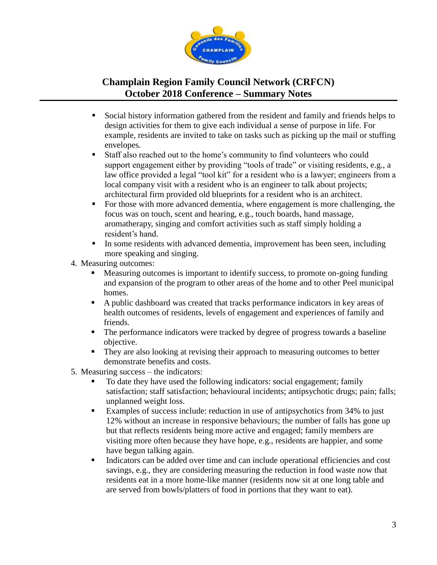

- Social history information gathered from the resident and family and friends helps to design activities for them to give each individual a sense of purpose in life. For example, residents are invited to take on tasks such as picking up the mail or stuffing envelopes.
- Staff also reached out to the home's community to find volunteers who could support engagement either by providing "tools of trade" or visiting residents, e.g., a law office provided a legal "tool kit" for a resident who is a lawyer; engineers from a local company visit with a resident who is an engineer to talk about projects; architectural firm provided old blueprints for a resident who is an architect.
- For those with more advanced dementia, where engagement is more challenging, the focus was on touch, scent and hearing, e.g., touch boards, hand massage, aromatherapy, singing and comfort activities such as staff simply holding a resident's hand.
- In some residents with advanced dementia, improvement has been seen, including more speaking and singing.
- 4. Measuring outcomes:
	- Measuring outcomes is important to identify success, to promote on-going funding and expansion of the program to other areas of the home and to other Peel municipal homes.
	- A public dashboard was created that tracks performance indicators in key areas of health outcomes of residents, levels of engagement and experiences of family and friends.
	- The performance indicators were tracked by degree of progress towards a baseline objective.
	- **They are also looking at revising their approach to measuring outcomes to better** demonstrate benefits and costs.
- 5. Measuring success the indicators:
	- To date they have used the following indicators: social engagement; family satisfaction; staff satisfaction; behavioural incidents; antipsychotic drugs; pain; falls; unplanned weight loss.
	- Examples of success include: reduction in use of antipsychotics from 34% to just 12% without an increase in responsive behaviours; the number of falls has gone up but that reflects residents being more active and engaged; family members are visiting more often because they have hope, e.g., residents are happier, and some have begun talking again.
	- Indicators can be added over time and can include operational efficiencies and cost savings, e.g., they are considering measuring the reduction in food waste now that residents eat in a more home-like manner (residents now sit at one long table and are served from bowls/platters of food in portions that they want to eat).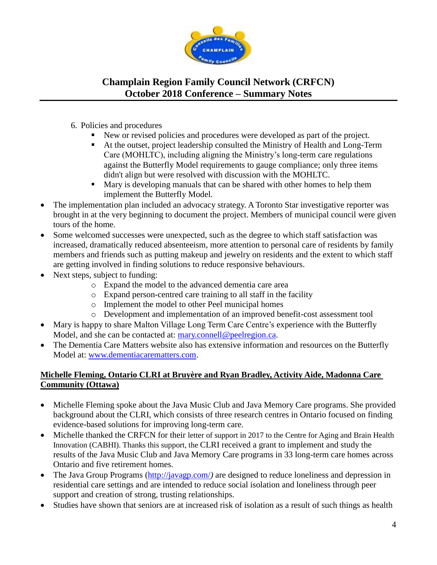

- 6. Policies and procedures
	- New or revised policies and procedures were developed as part of the project.
	- At the outset, project leadership consulted the Ministry of Health and Long-Term Care (MOHLTC), including aligning the Ministry's long-term care regulations against the Butterfly Model requirements to gauge compliance; only three items didn't align but were resolved with discussion with the MOHLTC.
	- **Mary is developing manuals that can be shared with other homes to help them** implement the Butterfly Model.
- The implementation plan included an advocacy strategy. A Toronto Star investigative reporter was brought in at the very beginning to document the project. Members of municipal council were given tours of the home.
- Some welcomed successes were unexpected, such as the degree to which staff satisfaction was increased, dramatically reduced absenteeism, more attention to personal care of residents by family members and friends such as putting makeup and jewelry on residents and the extent to which staff are getting involved in finding solutions to reduce responsive behaviours.
- Next steps, subject to funding:
	- o Expand the model to the advanced dementia care area
	- o Expand person-centred care training to all staff in the facility
	- o Implement the model to other Peel municipal homes
	- o Development and implementation of an improved benefit-cost assessment tool
- Mary is happy to share Malton Village Long Term Care Centre's experience with the Butterfly Model, and she can be contacted at: [mary.connell@peelregion.ca.](mailto:mary.connell@peelregion.ca)
- The Dementia Care Matters website also has extensive information and resources on the Butterfly Model at: [www.dementiacarematters.com.](http://www.dementiacarematters.com/)

### **Michelle Fleming, Ontario CLRI at Bruyère and Ryan Bradley, Activity Aide, Madonna Care Community (Ottawa)**

- Michelle Fleming spoke about the Java Music Club and Java Memory Care programs. She provided background about the CLRI, which consists of three research centres in Ontario focused on finding evidence-based solutions for improving long-term care.
- Michelle thanked the CRFCN for their letter of support in 2017 to the Centre for Aging and Brain Health Innovation (CABHI). Thanks this support, the CLRI received a grant to implement and study the results of the Java Music Club and Java Memory Care programs in 33 long-term care homes across Ontario and five retirement homes.
- The Java Group Programs [\(http://javagp.com/](http://javagp.com/)) are designed to reduce loneliness and depression in residential care settings and are intended to reduce social isolation and loneliness through peer support and creation of strong, trusting relationships.
- Studies have shown that seniors are at increased risk of isolation as a result of such things as health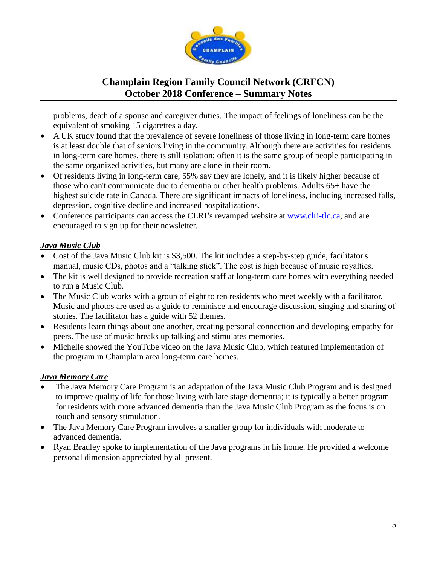

problems, death of a spouse and caregiver duties. The impact of feelings of loneliness can be the equivalent of smoking 15 cigarettes a day.

- A UK study found that the prevalence of severe loneliness of those living in long-term care homes is at least double that of seniors living in the community. Although there are activities for residents in long-term care homes, there is still isolation; often it is the same group of people participating in the same organized activities, but many are alone in their room.
- Of residents living in long-term care, 55% say they are lonely, and it is likely higher because of those who can't communicate due to dementia or other health problems. Adults 65+ have the highest suicide rate in Canada. There are significant impacts of loneliness, including increased falls, depression, cognitive decline and increased hospitalizations.
- Conference participants can access the CLRI's revamped website at [www.clri-tlc.ca,](http://www.clri-tlc.ca/) and are encouraged to sign up for their newsletter.

### *Java Music Club*

- Cost of the Java Music Club kit is \$3,500. The kit includes a step-by-step guide, facilitator's manual, music CDs, photos and a "talking stick". The cost is high because of music royalties.
- The kit is well designed to provide recreation staff at long-term care homes with everything needed to run a Music Club.
- The Music Club works with a group of eight to ten residents who meet weekly with a facilitator. Music and photos are used as a guide to reminisce and encourage discussion, singing and sharing of stories. The facilitator has a guide with 52 themes.
- Residents learn things about one another, creating personal connection and developing empathy for peers. The use of music breaks up talking and stimulates memories.
- Michelle showed the YouTube video on the Java Music Club, which featured implementation of the program in Champlain area long-term care homes.

#### *Java Memory Care*

- The Java Memory Care Program is an adaptation of the Java Music Club Program and is designed to improve quality of life for those living with late stage dementia; it is typically a better program for residents with more advanced dementia than the Java Music Club Program as the focus is on touch and sensory stimulation.
- The Java Memory Care Program involves a smaller group for individuals with moderate to advanced dementia.
- Ryan Bradley spoke to implementation of the Java programs in his home. He provided a welcome personal dimension appreciated by all present.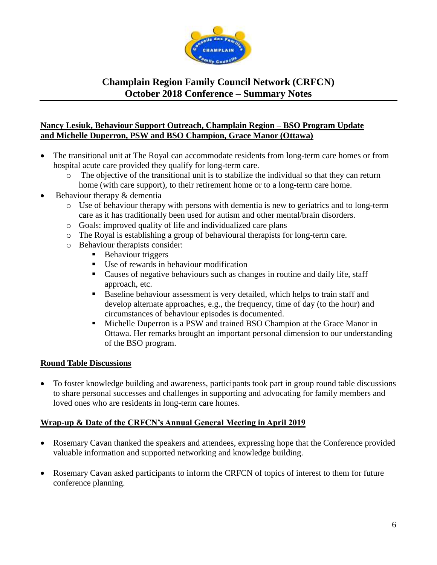

#### **Nancy Lesiuk, Behaviour Support Outreach, Champlain Region – BSO Program Update and Michelle Duperron, PSW and BSO Champion, Grace Manor (Ottawa)**

- The transitional unit at The Royal can accommodate residents from long-term care homes or from hospital acute care provided they qualify for long-term care.
	- o The objective of the transitional unit is to stabilize the individual so that they can return home (with care support), to their retirement home or to a long-term care home.
- Behaviour therapy & dementia
	- o Use of behaviour therapy with persons with dementia is new to geriatrics and to long-term care as it has traditionally been used for autism and other mental/brain disorders.
	- o Goals: improved quality of life and individualized care plans
	- o The Royal is establishing a group of behavioural therapists for long-term care.
	- o Behaviour therapists consider:
		- **Behaviour triggers**
		- Use of rewards in behaviour modification
		- Causes of negative behaviours such as changes in routine and daily life, staff approach, etc.
		- Baseline behaviour assessment is very detailed, which helps to train staff and develop alternate approaches, e.g., the frequency, time of day (to the hour) and circumstances of behaviour episodes is documented.
		- Michelle Duperron is a PSW and trained BSO Champion at the Grace Manor in Ottawa. Her remarks brought an important personal dimension to our understanding of the BSO program.

### **Round Table Discussions**

 To foster knowledge building and awareness, participants took part in group round table discussions to share personal successes and challenges in supporting and advocating for family members and loved ones who are residents in long-term care homes.

#### **Wrap-up & Date of the CRFCN's Annual General Meeting in April 2019**

- Rosemary Cavan thanked the speakers and attendees, expressing hope that the Conference provided valuable information and supported networking and knowledge building.
- Rosemary Cavan asked participants to inform the CRFCN of topics of interest to them for future conference planning.